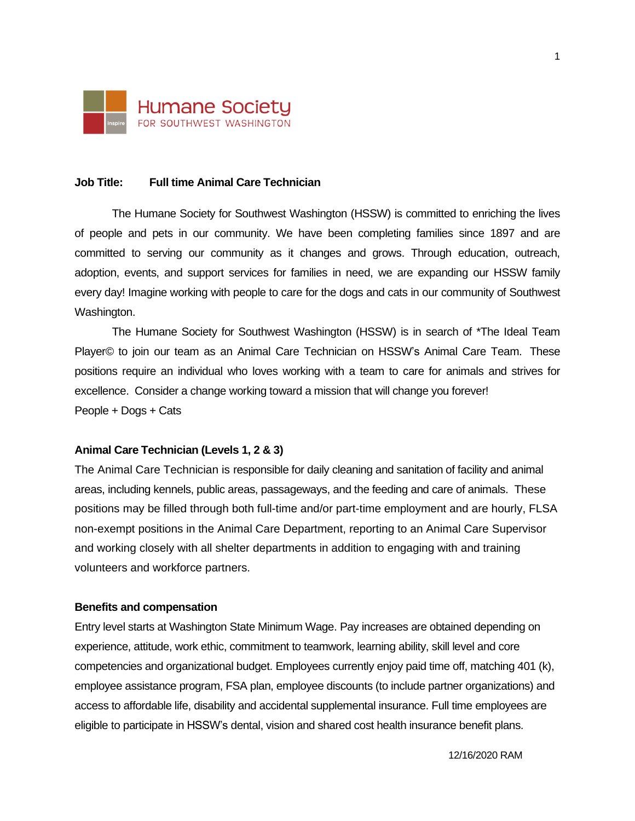

## **Job Title: Full time Animal Care Technician**

The Humane Society for Southwest Washington (HSSW) is committed to enriching the lives of people and pets in our community. We have been completing families since 1897 and are committed to serving our community as it changes and grows. Through education, outreach, adoption, events, and support services for families in need, we are expanding our HSSW family every day! Imagine working with people to care for the dogs and cats in our community of Southwest Washington.

The Humane Society for Southwest Washington (HSSW) is in search of \*The Ideal Team Player© to join our team as an Animal Care Technician on HSSW's Animal Care Team. These positions require an individual who loves working with a team to care for animals and strives for excellence. Consider a change working toward a mission that will change you forever! People + Dogs + Cats

#### **Animal Care Technician (Levels 1, 2 & 3)**

The Animal Care Technician is responsible for daily cleaning and sanitation of facility and animal areas, including kennels, public areas, passageways, and the feeding and care of animals. These positions may be filled through both full-time and/or part-time employment and are hourly, FLSA non-exempt positions in the Animal Care Department, reporting to an Animal Care Supervisor and working closely with all shelter departments in addition to engaging with and training volunteers and workforce partners.

#### **Benefits and compensation**

Entry level starts at Washington State Minimum Wage. Pay increases are obtained depending on experience, attitude, work ethic, commitment to teamwork, learning ability, skill level and core competencies and organizational budget. Employees currently enjoy paid time off, matching 401 (k), employee assistance program, FSA plan, employee discounts (to include partner organizations) and access to affordable life, disability and accidental supplemental insurance. Full time employees are eligible to participate in HSSW's dental, vision and shared cost health insurance benefit plans.

12/16/2020 RAM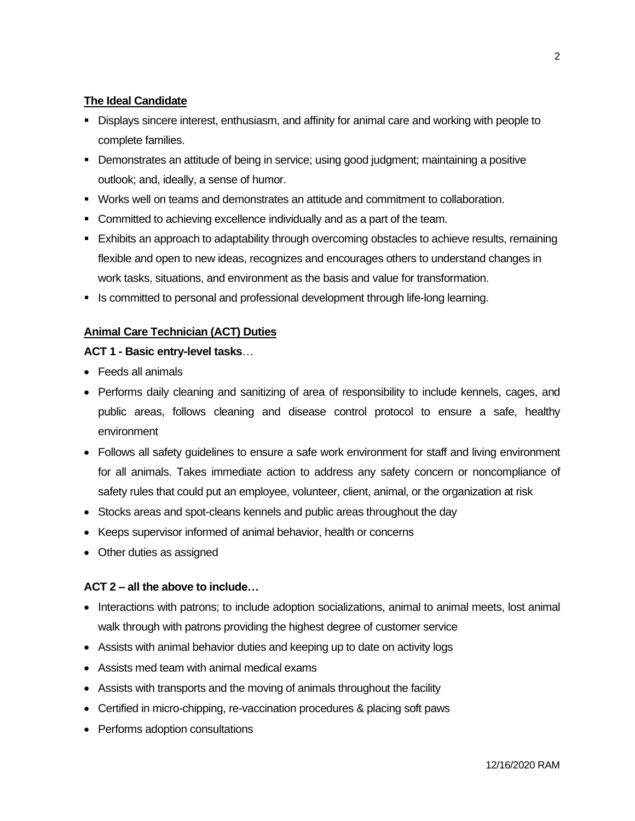# **The Ideal Candidate**

- **Displays sincere interest, enthusiasm, and affinity for animal care and working with people to** complete families.
- Demonstrates an attitude of being in service; using good judgment; maintaining a positive outlook; and, ideally, a sense of humor.
- Works well on teams and demonstrates an attitude and commitment to collaboration.
- **Committed to achieving excellence individually and as a part of the team.**
- Exhibits an approach to adaptability through overcoming obstacles to achieve results, remaining flexible and open to new ideas, recognizes and encourages others to understand changes in work tasks, situations, and environment as the basis and value for transformation.
- **EXE** Is committed to personal and professional development through life-long learning.

# **Animal Care Technician (ACT) Duties**

## **ACT 1 - Basic entry-level tasks**…

- Feeds all animals
- Performs daily cleaning and sanitizing of area of responsibility to include kennels, cages, and public areas, follows cleaning and disease control protocol to ensure a safe, healthy environment
- Follows all safety guidelines to ensure a safe work environment for staff and living environment for all animals. Takes immediate action to address any safety concern or noncompliance of safety rules that could put an employee, volunteer, client, animal, or the organization at risk
- Stocks areas and spot-cleans kennels and public areas throughout the day
- Keeps supervisor informed of animal behavior, health or concerns
- Other duties as assigned

# **ACT 2 – all the above to include…**

- Interactions with patrons; to include adoption socializations, animal to animal meets, lost animal walk through with patrons providing the highest degree of customer service
- Assists with animal behavior duties and keeping up to date on activity logs
- Assists med team with animal medical exams
- Assists with transports and the moving of animals throughout the facility
- Certified in micro-chipping, re-vaccination procedures & placing soft paws
- Performs adoption consultations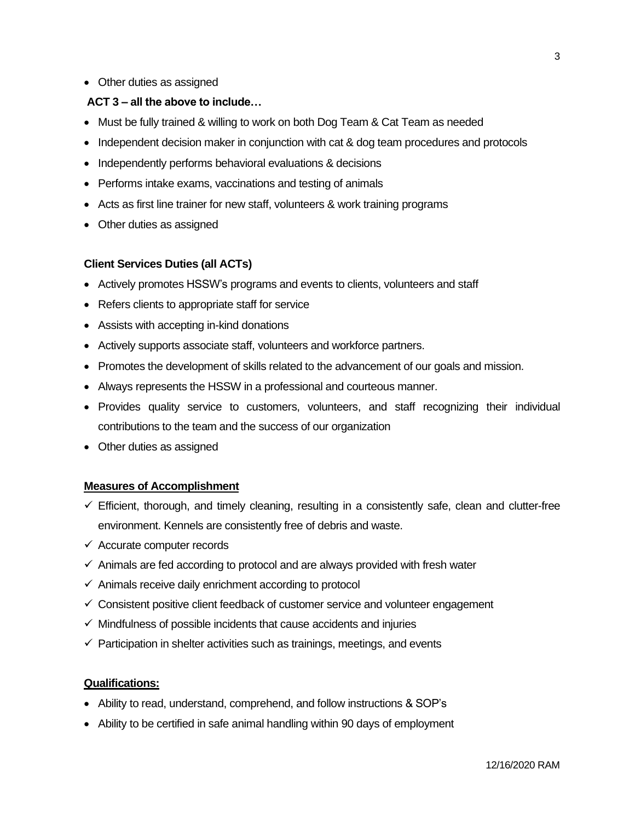• Other duties as assigned

# **ACT 3 – all the above to include…**

- Must be fully trained & willing to work on both Dog Team & Cat Team as needed
- Independent decision maker in conjunction with cat & dog team procedures and protocols
- Independently performs behavioral evaluations & decisions
- Performs intake exams, vaccinations and testing of animals
- Acts as first line trainer for new staff, volunteers & work training programs
- Other duties as assigned

## **Client Services Duties (all ACTs)**

- Actively promotes HSSW's programs and events to clients, volunteers and staff
- Refers clients to appropriate staff for service
- Assists with accepting in-kind donations
- Actively supports associate staff, volunteers and workforce partners.
- Promotes the development of skills related to the advancement of our goals and mission.
- Always represents the HSSW in a professional and courteous manner.
- Provides quality service to customers, volunteers, and staff recognizing their individual contributions to the team and the success of our organization
- Other duties as assigned

## **Measures of Accomplishment**

- $\checkmark$  Efficient, thorough, and timely cleaning, resulting in a consistently safe, clean and clutter-free environment. Kennels are consistently free of debris and waste.
- ✓ Accurate computer records
- $\checkmark$  Animals are fed according to protocol and are always provided with fresh water
- $\checkmark$  Animals receive daily enrichment according to protocol
- ✓ Consistent positive client feedback of customer service and volunteer engagement
- $\checkmark$  Mindfulness of possible incidents that cause accidents and injuries
- $\checkmark$  Participation in shelter activities such as trainings, meetings, and events

### **Qualifications:**

- Ability to read, understand, comprehend, and follow instructions & SOP's
- Ability to be certified in safe animal handling within 90 days of employment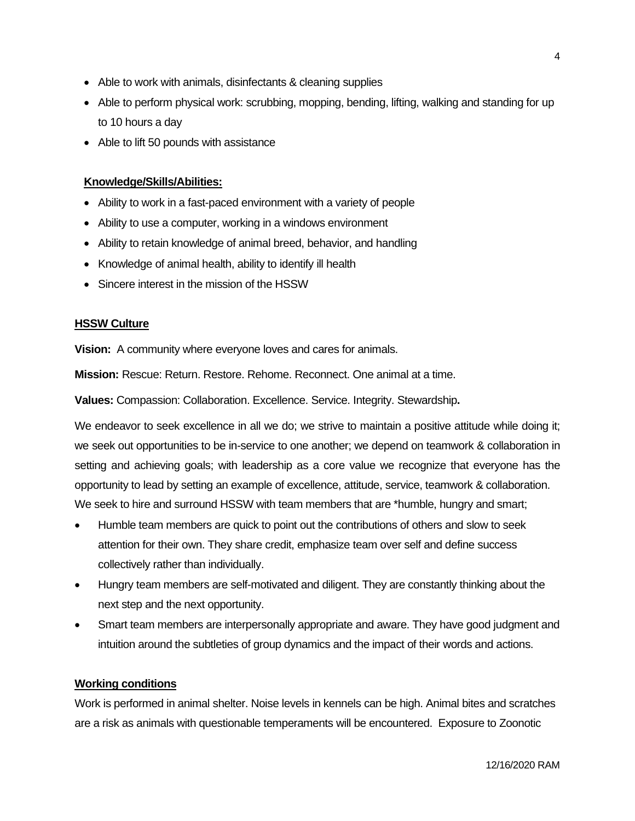- Able to work with animals, disinfectants & cleaning supplies
- Able to perform physical work: scrubbing, mopping, bending, lifting, walking and standing for up to 10 hours a day
- Able to lift 50 pounds with assistance

## **Knowledge/Skills/Abilities:**

- Ability to work in a fast-paced environment with a variety of people
- Ability to use a computer, working in a windows environment
- Ability to retain knowledge of animal breed, behavior, and handling
- Knowledge of animal health, ability to identify ill health
- Sincere interest in the mission of the HSSW

#### **HSSW Culture**

**Vision:** A community where everyone loves and cares for animals.

**Mission:** Rescue: Return. Restore. Rehome. Reconnect. One animal at a time.

**Values:** Compassion: Collaboration. Excellence. Service. Integrity. Stewardship**.**

We endeavor to seek excellence in all we do; we strive to maintain a positive attitude while doing it; we seek out opportunities to be in-service to one another; we depend on teamwork & collaboration in setting and achieving goals; with leadership as a core value we recognize that everyone has the opportunity to lead by setting an example of excellence, attitude, service, teamwork & collaboration. We seek to hire and surround HSSW with team members that are \*humble, hungry and smart;

- Humble team members are quick to point out the contributions of others and slow to seek attention for their own. They share credit, emphasize team over self and define success collectively rather than individually.
- Hungry team members are self-motivated and diligent. They are constantly thinking about the next step and the next opportunity.
- Smart team members are interpersonally appropriate and aware. They have good judgment and intuition around the subtleties of group dynamics and the impact of their words and actions.

### **Working conditions**

Work is performed in animal shelter. Noise levels in kennels can be high. Animal bites and scratches are a risk as animals with questionable temperaments will be encountered. Exposure to Zoonotic